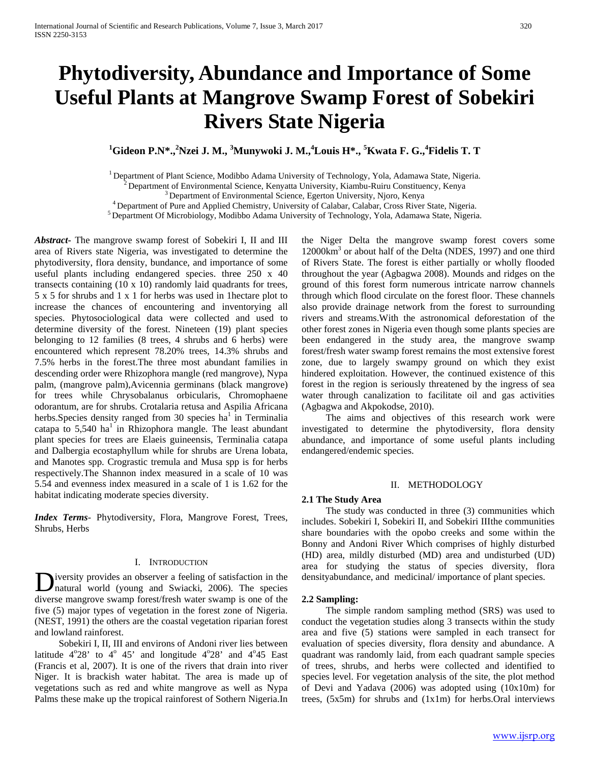# **Phytodiversity, Abundance and Importance of Some Useful Plants at Mangrove Swamp Forest of Sobekiri Rivers State Nigeria**

## <sup>1</sup>Gideon P.N\*.,<sup>2</sup>Nzei J. M., <sup>3</sup>Munywoki J. M.,<sup>4</sup>Louis H\*., <sup>5</sup>Kwata F. G.,<sup>4</sup>Fidelis T. T

<sup>1</sup> Department of Plant Science, Modibbo Adama University of Technology, Yola, Adamawa State, Nigeria.<br><sup>2</sup> Department of Environmental Science, Kenyatta University, Kiambu-Ruiru Constituency, Kenya<sup>3</sup> Department of Enviro

*Abstract***-** The mangrove swamp forest of Sobekiri I, II and III area of Rivers state Nigeria, was investigated to determine the phytodiversity, flora density, bundance, and importance of some useful plants including endangered species. three 250 x 40 transects containing (10 x 10) randomly laid quadrants for trees, 5 x 5 for shrubs and 1 x 1 for herbs was used in 1hectare plot to increase the chances of encountering and inventorying all species. Phytosociological data were collected and used to determine diversity of the forest. Nineteen (19) plant species belonging to 12 families (8 trees, 4 shrubs and 6 herbs) were encountered which represent 78.20% trees, 14.3% shrubs and 7.5% herbs in the forest.The three most abundant families in descending order were Rhizophora mangle (red mangrove), Nypa palm, (mangrove palm),Avicennia germinans (black mangrove) for trees while Chrysobalanus orbicularis, Chromophaene odorantum, are for shrubs. Crotalaria retusa and Aspilia Africana herbs. Species density ranged from 30 species  $ha^1$  in Terminalia catapa to  $5,540$  ha<sup>1</sup> in Rhizophora mangle. The least abundant plant species for trees are Elaeis guineensis, Terminalia catapa and Dalbergia ecostaphyllum while for shrubs are Urena lobata, and Manotes spp. Crograstic tremula and Musa spp is for herbs respectively.The Shannon index measured in a scale of 10 was 5.54 and evenness index measured in a scale of 1 is 1.62 for the habitat indicating moderate species diversity.

*Index Terms*- Phytodiversity, Flora, Mangrove Forest, Trees, Shrubs, Herbs

### I. INTRODUCTION

iversity provides an observer a feeling of satisfaction in the Diversity provides an observer a feeling of satisfaction in the natural world (young and Swiacki, 2006). The species diverse mangrove swamp forest/fresh water swamp is one of the five (5) major types of vegetation in the forest zone of Nigeria. (NEST, 1991) the others are the coastal vegetation riparian forest and lowland rainforest.

 Sobekiri I, II, III and environs of Andoni river lies between latitude  $4^{\circ}28'$  to  $4^{\circ}45'$  and longitude  $4^{\circ}28'$  and  $4^{\circ}45$  East (Francis et al, 2007). It is one of the rivers that drain into river Niger. It is brackish water habitat. The area is made up of vegetations such as red and white mangrove as well as Nypa Palms these make up the tropical rainforest of Sothern Nigeria.In

the Niger Delta the mangrove swamp forest covers some 12000km<sup>3</sup> or about half of the Delta (NDES, 1997) and one third of Rivers State. The forest is either partially or wholly flooded throughout the year (Agbagwa 2008). Mounds and ridges on the ground of this forest form numerous intricate narrow channels through which flood circulate on the forest floor. These channels also provide drainage network from the forest to surrounding rivers and streams.With the astronomical deforestation of the other forest zones in Nigeria even though some plants species are been endangered in the study area, the mangrove swamp forest/fresh water swamp forest remains the most extensive forest zone, due to largely swampy ground on which they exist hindered exploitation. However, the continued existence of this forest in the region is seriously threatened by the ingress of sea water through canalization to facilitate oil and gas activities (Agbagwa and Akpokodse, 2010).

 The aims and objectives of this research work were investigated to determine the phytodiversity, flora density abundance, and importance of some useful plants including endangered/endemic species.

#### II. METHODOLOGY

#### **2.1 The Study Area**

 The study was conducted in three (3) communities which includes. Sobekiri I, Sobekiri II, and Sobekiri IIIthe communities share boundaries with the opobo creeks and some within the Bonny and Andoni River Which comprises of highly disturbed (HD) area, mildly disturbed (MD) area and undisturbed (UD) area for studying the status of species diversity, flora densityabundance, and medicinal/ importance of plant species.

#### **2.2 Sampling:**

 The simple random sampling method (SRS) was used to conduct the vegetation studies along 3 transects within the study area and five (5) stations were sampled in each transect for evaluation of species diversity, flora density and abundance. A quadrant was randomly laid, from each quadrant sample species of trees, shrubs, and herbs were collected and identified to species level. For vegetation analysis of the site, the plot method of Devi and Yadava (2006) was adopted using (10x10m) for trees, (5x5m) for shrubs and (1x1m) for herbs.Oral interviews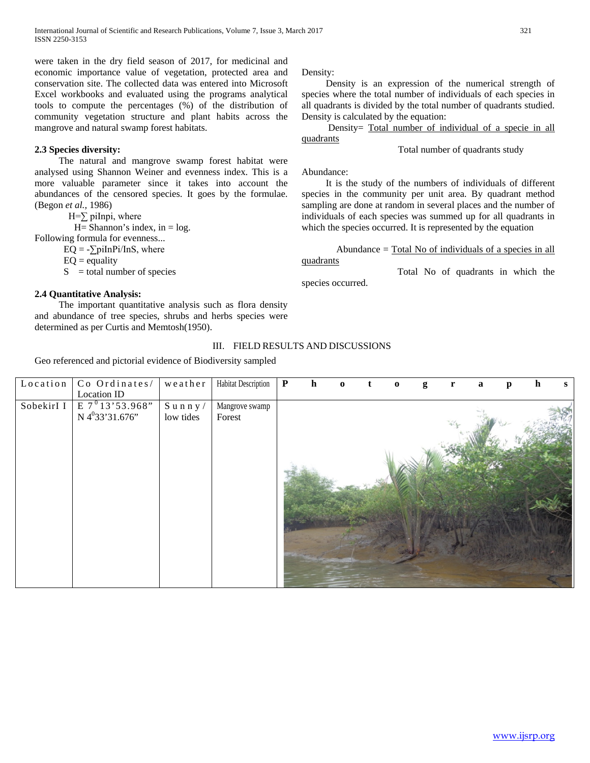were taken in the dry field season of 2017, for medicinal and economic importance value of vegetation, protected area and conservation site. The collected data was entered into Microsoft Excel workbooks and evaluated using the programs analytical tools to compute the percentages (%) of the distribution of community vegetation structure and plant habits across the mangrove and natural swamp forest habitats.

## **2.3 Species diversity:**

 The natural and mangrove swamp forest habitat were analysed using Shannon Weiner and evenness index. This is a more valuable parameter since it takes into account the abundances of the censored species. It goes by the formulae. (Begon *et al.,* 1986)

 $H=\sum$  piInpi, where

 $H= Shannon's index, in = log.$ 

Following formula for evenness...  $EQ = -\sum \text{piInPi/Ins}$ , where

 $EO = equality$ 

 $S =$  total number of species

## **2.4 Quantitative Analysis:**

 The important quantitative analysis such as flora density and abundance of tree species, shrubs and herbs species were determined as per Curtis and Memtosh(1950).

Density:

 Density is an expression of the numerical strength of species where the total number of individuals of each species in all quadrants is divided by the total number of quadrants studied. Density is calculated by the equation:

 Density= Total number of individual of a specie in all quadrants

Total number of quadrants study

Abundance:

 It is the study of the numbers of individuals of different species in the community per unit area. By quadrant method sampling are done at random in several places and the number of individuals of each species was summed up for all quadrants in which the species occurred. It is represented by the equation

Abundance  $=$  Total No of individuals of a species in all

quadrants

Total No of quadrants in which the

species occurred.

## III. FIELD RESULTS AND DISCUSSIONS

Geo referenced and pictorial evidence of Biodiversity sampled

| Location   | Co Ordinates/               | weather   | Habitat Description | $\mathbf{P}$ | $\mathbf{h}$ | $\Omega$ | $\bf{0}$ | g | r | a | p | h | S |
|------------|-----------------------------|-----------|---------------------|--------------|--------------|----------|----------|---|---|---|---|---|---|
|            | Location ID                 |           |                     |              |              |          |          |   |   |   |   |   |   |
| SobekirI I | $E 7^0 13' 53.968"$         | $S$ unny/ | Mangrove swamp      |              |              |          |          |   |   |   |   |   |   |
|            | N 4 <sup>0</sup> 33'31.676" | low tides | Forest              |              |              |          |          |   |   |   |   |   |   |
|            |                             |           |                     |              |              |          |          |   |   |   |   |   |   |
|            |                             |           |                     |              |              |          |          |   |   |   |   |   |   |
|            |                             |           |                     |              |              |          |          |   |   |   |   |   |   |
|            |                             |           |                     |              |              |          |          |   |   |   |   |   |   |
|            |                             |           |                     |              |              |          |          |   |   |   |   |   |   |
|            |                             |           |                     |              |              |          |          |   |   |   |   |   |   |
|            |                             |           |                     |              |              |          |          |   |   |   |   |   |   |
|            |                             |           |                     |              |              |          |          |   |   |   |   |   |   |
|            |                             |           |                     |              |              |          |          |   |   |   |   |   |   |
|            |                             |           |                     |              |              |          |          |   |   |   |   |   |   |
|            |                             |           |                     |              |              |          |          |   |   |   |   |   |   |
|            |                             |           |                     |              |              |          |          |   |   |   |   |   |   |
|            |                             |           |                     |              |              |          |          |   |   |   |   |   |   |
|            |                             |           |                     |              |              |          |          |   |   |   |   |   |   |
|            |                             |           |                     |              |              |          |          |   |   |   |   |   |   |
|            |                             |           |                     |              |              |          |          |   |   |   |   |   |   |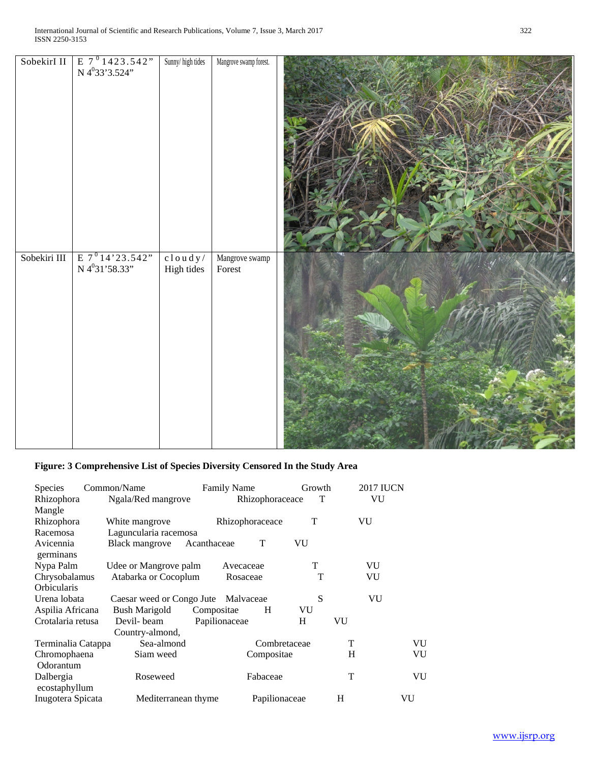| SobekirI II  | $\begin{array}{ c c } \hline \text{E} & 7 & 1423.542" \\ \hline \text{N} & 4^0 33' 3.524" \\ \hline \end{array}$ | Sunny/high tides         | Mangrove swamp forest.   |  |
|--------------|------------------------------------------------------------------------------------------------------------------|--------------------------|--------------------------|--|
| Sobekiri III | E $7^0$ 14'23.542"<br>N 4 <sup>0</sup> 31'58.33"                                                                 | $cloudy /$<br>High tides | Mangrove swamp<br>Forest |  |

# **Figure: 3 Comprehensive List of Species Diversity Censored In the Study Area**

| <b>Species</b>             | Common/Name                         | <b>Family Name</b> | Growth       | <b>2017 IUCN</b> |    |
|----------------------------|-------------------------------------|--------------------|--------------|------------------|----|
| Rhizophora                 | Ngala/Red mangrove                  | Rhizophoraceace    | Т            | VU               |    |
| Mangle                     |                                     |                    |              |                  |    |
| Rhizophora                 | White mangrove                      | Rhizophoraceace    | т            | VU               |    |
| Racemosa                   | Laguncularia racemosa               |                    |              |                  |    |
| Avicennia<br>germinans     | Black mangrove                      | T<br>Acanthaceae   | VU           |                  |    |
| Nypa Palm                  | Udee or Mangrove palm               | Avecaceae          | T            | VU               |    |
| Chrysobalamus              | Atabarka or Cocoplum                | Rosaceae           | T            | VU               |    |
| Orbicularis                |                                     |                    |              |                  |    |
| Urena lobata               | Caesar weed or Congo Jute Malvaceae |                    | S            | VU               |    |
| Aspilia Africana           | <b>Bush Marigold</b>                | Compositae<br>H    | VU           |                  |    |
| Crotalaria retusa          | Devil-beam                          | Papilionaceae      | H            | VU               |    |
|                            | Country-almond,                     |                    |              |                  |    |
| Terminalia Catappa         | Sea-almond                          |                    | Combretaceae | T                | VU |
| Chromophaena               | Siam weed                           | Compositae         |              | H                | VU |
| Odorantum                  |                                     |                    |              |                  |    |
| Dalbergia<br>ecostaphyllum | Roseweed                            | Fabaceae           |              | T                | VU |
| Inugotera Spicata          | Mediterranean thyme                 | Papilionaceae      |              | H                | VU |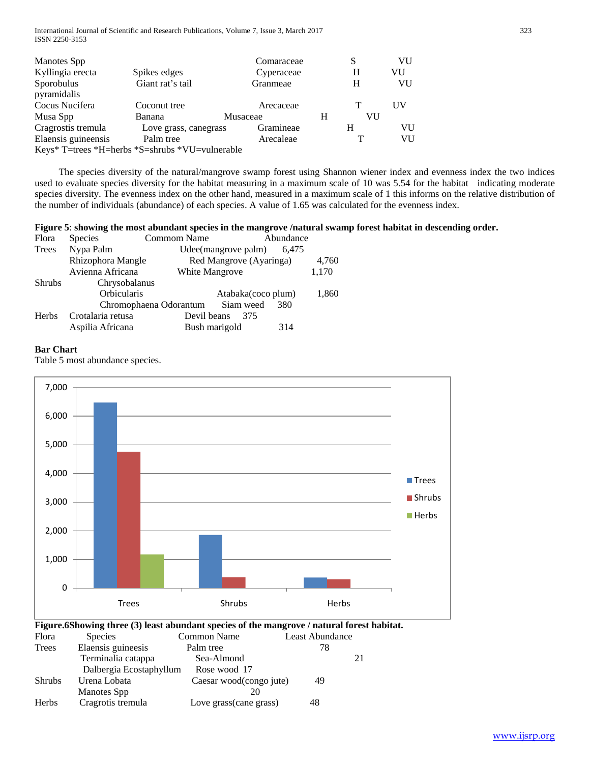| <b>Manotes Spp</b>                              |                       |          | Comaraceae |   | S  | VU |
|-------------------------------------------------|-----------------------|----------|------------|---|----|----|
| Kyllingia erecta                                | Spikes edges          |          | Cyperaceae |   | H  | VU |
| Sporobulus                                      | Giant rat's tail      |          | Granmeae   |   | н  | VU |
| pyramidalis                                     |                       |          |            |   |    |    |
| Cocus Nucifera                                  | Coconut tree          |          | Arecaceae  |   |    | UV |
| Musa Spp                                        | Banana                | Musaceae |            | н | VU |    |
| Cragrostis tremula                              | Love grass, canegrass |          | Gramineae  |   | Н  | VU |
| Elaensis guineensis                             | Palm tree             |          | Arecaleae  |   |    | VU |
| Keys* T=trees *H=herbs *S=shrubs *VU=vulnerable |                       |          |            |   |    |    |

 The species diversity of the natural/mangrove swamp forest using Shannon wiener index and evenness index the two indices used to evaluate species diversity for the habitat measuring in a maximum scale of 10 was 5.54 for the habitat indicating moderate species diversity. The evenness index on the other hand, measured in a maximum scale of 1 this informs on the relative distribution of the number of individuals (abundance) of each species. A value of 1.65 was calculated for the evenness index.

## **Figure 5**: **showing the most abundant species in the mangrove /natural swamp forest habitat in descending order.**

| Flora         | Species           | <b>Commom Name</b><br>Abundance            |       |
|---------------|-------------------|--------------------------------------------|-------|
| Trees         | Nypa Palm         | Udee(mangrove palm)<br>6,475               |       |
|               | Rhizophora Mangle | Red Mangrove (Ayaringa)                    | 4,760 |
|               | Avienna Africana  | <b>White Mangrove</b>                      | 1,170 |
| <b>Shrubs</b> | Chrysobalanus     |                                            |       |
|               | Orbicularis       | Atabaka(coco plum)                         | 1,860 |
|               |                   | Chromophaena Odorantum<br>Siam weed<br>380 |       |
| <b>Herbs</b>  | Crotalaria retusa | Devil beans<br>375                         |       |
|               | Aspilia Africana  | Bush marigold<br>314                       |       |

## **Bar Chart**

Table 5 most abundance species.



| <b>Shrubs</b> | Urena Lobata      | Caesar wood(congo jute) | 49 |
|---------------|-------------------|-------------------------|----|
|               | Manotes Spp       |                         |    |
| Herbs         | Cragrotis tremula | Love grass(cane grass)  | 48 |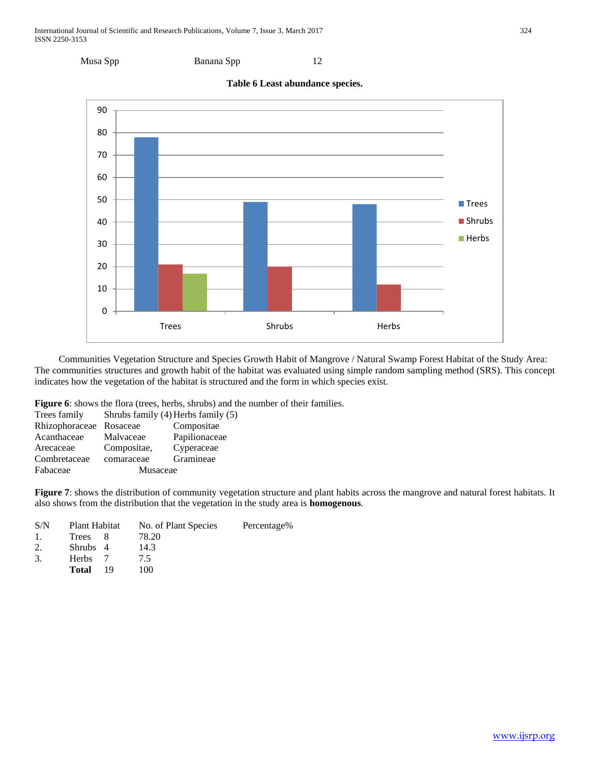



 Communities Vegetation Structure and Species Growth Habit of Mangrove / Natural Swamp Forest Habitat of the Study Area: The communities structures and growth habit of the habitat was evaluated using simple random sampling method (SRS). This concept indicates how the vegetation of the habitat is structured and the form in which species exist.

**Figure 6**: shows the flora (trees, herbs, shrubs) and the number of their families.

| Trees family   |             | Shrubs family (4) Herbs family (5) |
|----------------|-------------|------------------------------------|
| Rhizophoraceae | Rosaceae    | Compositae                         |
| Acanthaceae    | Malvaceae   | Papilionaceae                      |
| Arecaceae      | Compositae, | Cyperaceae                         |
| Combretaceae   | comaraceae  | Gramineae                          |
| Fabaceae       | Musaceae    |                                    |
|                |             |                                    |

**Figure 7**: shows the distribution of community vegetation structure and plant habits across the mangrove and natural forest habitats. It also shows from the distribution that the vegetation in the study area is **homogenous**.

| S/N            | Plant Habitat        | No. of Plant Species | Percentage% |
|----------------|----------------------|----------------------|-------------|
| $\mathbf{1}$ . | Trees                | 78.20                |             |
| 2.             | Shrubs 4             | 14.3                 |             |
| 3.             | Herbs 7              | 75                   |             |
|                | <b>Total</b><br>- 19 | 100                  |             |
|                |                      |                      |             |

**Table 6 Least abundance species.**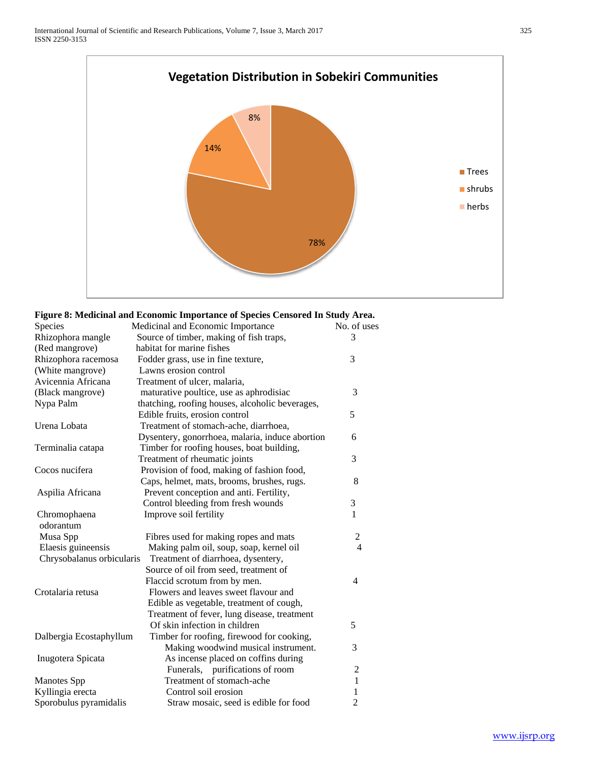

## **Figure 8: Medicinal and Economic Importance of Species Censored In Study Area.**

| Species                   | Medicinal and Economic Importance               | No. of uses    |
|---------------------------|-------------------------------------------------|----------------|
| Rhizophora mangle         | Source of timber, making of fish traps,         | 3              |
| (Red mangrove)            | habitat for marine fishes                       |                |
| Rhizophora racemosa       | Fodder grass, use in fine texture,              | 3              |
| (White mangrove)          | Lawns erosion control                           |                |
| Avicennia Africana        | Treatment of ulcer, malaria,                    |                |
| (Black mangrove)          | maturative poultice, use as aphrodisiac         | 3              |
| Nypa Palm                 | thatching, roofing houses, alcoholic beverages, |                |
|                           | Edible fruits, erosion control                  | 5              |
| Urena Lobata              | Treatment of stomach-ache, diarrhoea,           |                |
|                           | Dysentery, gonorrhoea, malaria, induce abortion | 6              |
| Terminalia catapa         | Timber for roofing houses, boat building,       |                |
|                           | Treatment of rheumatic joints                   | 3              |
| Cocos nucifera            | Provision of food, making of fashion food,      |                |
|                           | Caps, helmet, mats, brooms, brushes, rugs.      | 8              |
| Aspilia Africana          | Prevent conception and anti. Fertility,         |                |
|                           | Control bleeding from fresh wounds              | 3              |
| Chromophaena              | Improve soil fertility                          | $\mathbf{1}$   |
| odorantum                 |                                                 |                |
| Musa Spp                  | Fibres used for making ropes and mats           | $\overline{c}$ |
| Elaesis guineensis        | Making palm oil, soup, soap, kernel oil         | $\overline{4}$ |
| Chrysobalanus orbicularis | Treatment of diarrhoea, dysentery,              |                |
|                           | Source of oil from seed, treatment of           |                |
|                           | Flaccid scrotum from by men.                    | $\overline{4}$ |
| Crotalaria retusa         | Flowers and leaves sweet flavour and            |                |
|                           | Edible as vegetable, treatment of cough,        |                |
|                           | Treatment of fever, lung disease, treatment     |                |
|                           | Of skin infection in children                   | 5              |
| Dalbergia Ecostaphyllum   | Timber for roofing, firewood for cooking,       |                |
|                           | Making woodwind musical instrument.             | 3              |
| Inugotera Spicata         | As incense placed on coffins during             |                |
|                           | Funerals, purifications of room                 | $\overline{2}$ |
| <b>Manotes</b> Spp        | Treatment of stomach-ache                       | $\mathbf{1}$   |
| Kyllingia erecta          | Control soil erosion                            | $\mathbf{1}$   |
| Sporobulus pyramidalis    | Straw mosaic, seed is edible for food           | $\overline{2}$ |